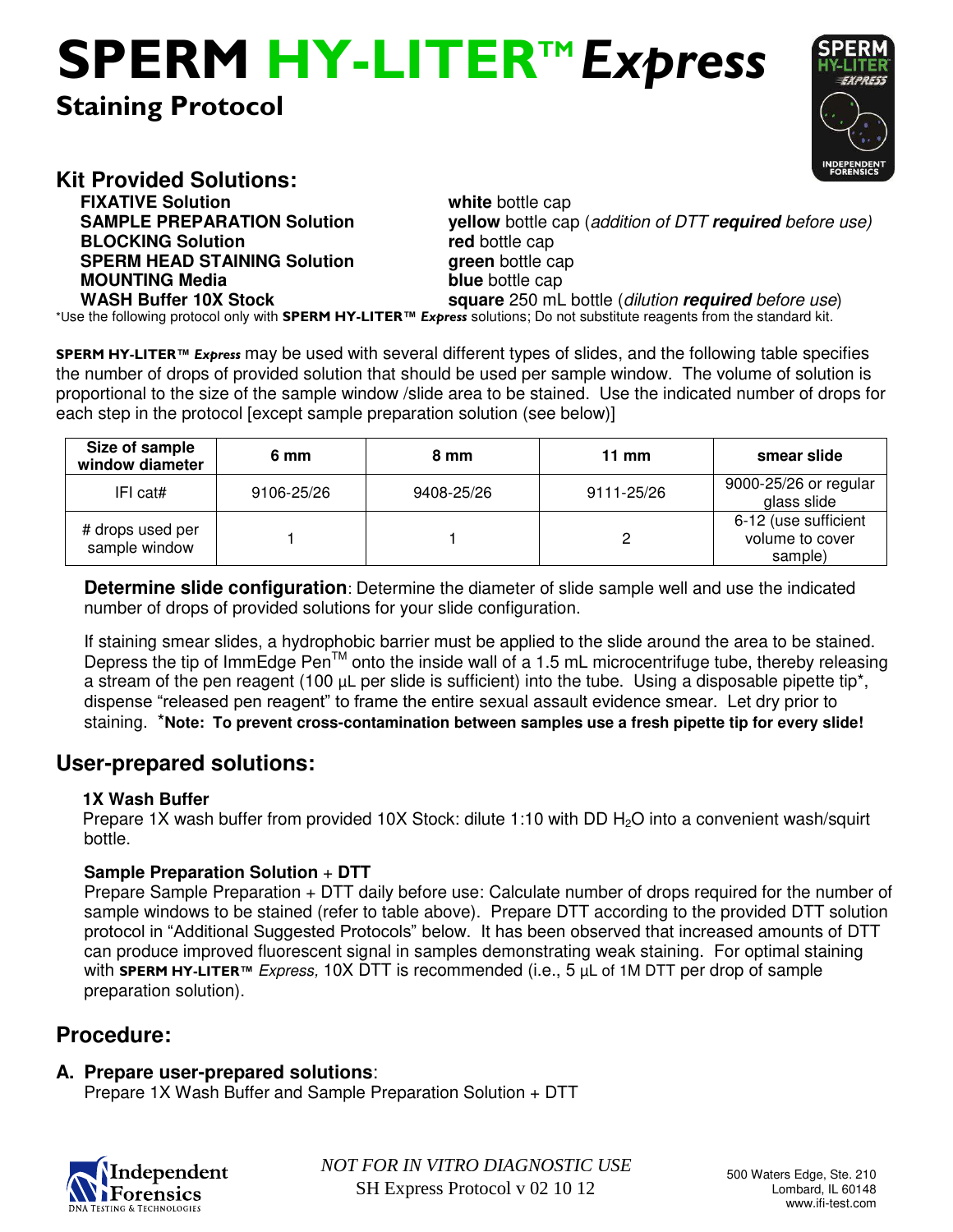# **Staining Protocol SPERM HY-LITERTM** *Express*



**Kit Provided Solutions:** 

**FIXATIVE Solution White** bottle cap **BLOCKING Solution red** bottle cap **SPERM HEAD STAINING Solution <b>green** bottle cap **MOUNTING Media** blue bottle cap

**SAMPLE PREPARATION Solution yellow** bottle cap (*addition of DTT required before use)* **WASH Buffer 10X Stock square** 250 mL bottle (*dilution required before use*) \*Use the following protocol only with **SPERM HY-LITER™** *Express* solutions; Do not substitute reagents from the standard kit.

**SPERM HY-LITER™** *Express* may be used with several different types of slides, and the following table specifies the number of drops of provided solution that should be used per sample window. The volume of solution is proportional to the size of the sample window /slide area to be stained. Use the indicated number of drops for each step in the protocol [except sample preparation solution (see below)]

| Size of sample<br>window diameter | 6 mm       | 8 mm       | 11 mm      | smear slide                                        |
|-----------------------------------|------------|------------|------------|----------------------------------------------------|
| IFLcat#                           | 9106-25/26 | 9408-25/26 | 9111-25/26 | 9000-25/26 or regular<br>glass slide               |
| # drops used per<br>sample window |            |            |            | 6-12 (use sufficient<br>volume to cover<br>sample) |

**Determine slide configuration**: Determine the diameter of slide sample well and use the indicated number of drops of provided solutions for your slide configuration.

If staining smear slides, a hydrophobic barrier must be applied to the slide around the area to be stained. Depress the tip of ImmEdge Pen<sup>TM</sup> onto the inside wall of a 1.5 mL microcentrifuge tube, thereby releasing a stream of the pen reagent (100 µL per slide is sufficient) into the tube. Using a disposable pipette tip<sup>\*</sup>, dispense "released pen reagent" to frame the entire sexual assault evidence smear. Let dry prior to staining. \***Note: To prevent cross-contamination between samples use a fresh pipette tip for every slide!** 

# **User-prepared solutions:**

## **1X Wash Buffer**

Prepare 1X wash buffer from provided 10X Stock: dilute 1:10 with DD  $H<sub>2</sub>O$  into a convenient wash/squirt bottle.

# **Sample Preparation Solution** + **DTT**

Prepare Sample Preparation + DTT daily before use: Calculate number of drops required for the number of sample windows to be stained (refer to table above). Prepare DTT according to the provided DTT solution protocol in "Additional Suggested Protocols" below. It has been observed that increased amounts of DTT can produce improved fluorescent signal in samples demonstrating weak staining. For optimal staining with **SPERM HY-LITER™** *Express,* 10X DTT is recommended (i.e., 5 µL of 1M DTT per drop of sample preparation solution).

# **Procedure:**

# **A. Prepare user-prepared solutions**:

Prepare 1X Wash Buffer and Sample Preparation Solution + DTT



*NOT FOR IN VITRO DIAGNOSTIC USE* 500 Waters Edge, Ste. 210 SH Express Protocol v 02 10 12